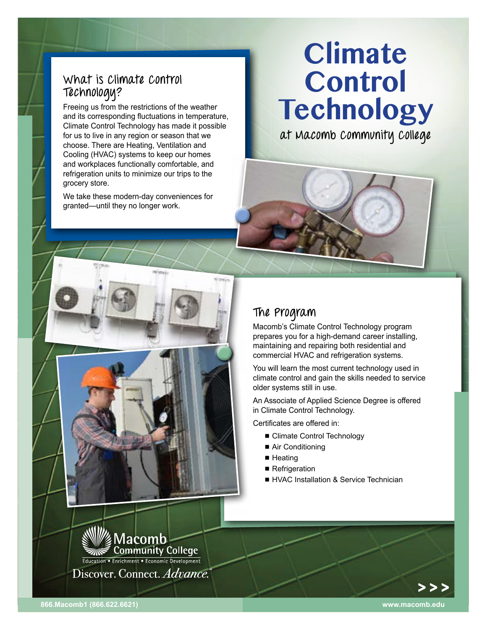## **What is Climate Control Technology?**

Freeing us from the restrictions of the weather and its corresponding fluctuations in temperature, Climate Control Technology has made it possible for us to live in any region or season that we choose. There are Heating, Ventilation and Cooling (HVAC) systems to keep our homes and workplaces functionally comfortable, and refrigeration units to minimize our trips to the grocery store.

We take these modern-day conveniences for granted—until they no longer work.

# **Climate Control Technology**

**at Macomb Community College**

## **The Program**

Macomb's Climate Control Technology program prepares you for a high-demand career installing, maintaining and repairing both residential and commercial HVAC and refrigeration systems.

You will learn the most current technology used in climate control and gain the skills needed to service older systems still in use.

An Associate of Applied Science Degree is offered in Climate Control Technology.

Certificates are offered in:

- Climate Control Technology
- Air Conditioning
- $\blacksquare$  Heating
- Refrigeration
- **F** HVAC Installation & Service Technician



**866.Macomb1 (866.622.6621) <www.macomb.edu>**

> > >